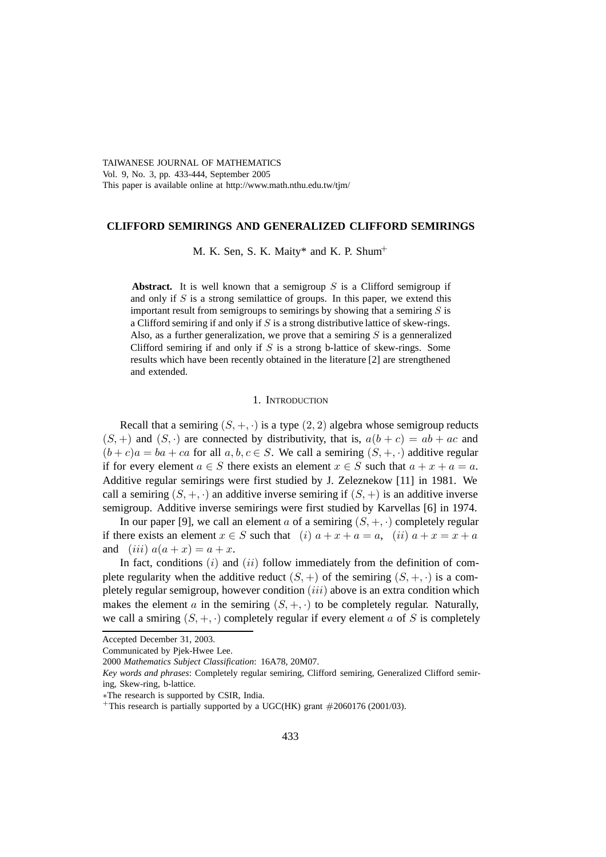TAIWANESE JOURNAL OF MATHEMATICS Vol. 9, No. 3, pp. 433-444, September 2005 This paper is available online at http://www.math.nthu.edu.tw/tjm/

## **CLIFFORD SEMIRINGS AND GENERALIZED CLIFFORD SEMIRINGS**

M. K. Sen, S. K. Maity\* and K. P. Shum<sup>+</sup>

**Abstract.** It is well known that a semigroup  $S$  is a Clifford semigroup if and only if  $S$  is a strong semilattice of groups. In this paper, we extend this important result from semigroups to semirings by showing that a semiring  $S$  is a Clifford semiring if and only if  $S$  is a strong distributive lattice of skew-rings. Also, as a further generalization, we prove that a semiring  $S$  is a genneralized Clifford semiring if and only if  $S$  is a strong b-lattice of skew-rings. Some results which have been recently obtained in the literature [2] are strengthened and extended.

# 1. INTRODUCTION

Recall that a semiring  $(S, +, \cdot)$  is a type  $(2, 2)$  algebra whose semigroup reducts  $(S, +)$  and  $(S, \cdot)$  are connected by distributivity, that is,  $a(b + c) = ab + ac$  and  $(b + c)a = ba + ca$  for all  $a, b, c \in S$ . We call a semiring  $(S, +, \cdot)$  additive regular if for every element  $a \in S$  there exists an element  $x \in S$  such that  $a + x + a = a$ . Additive regular semirings were first studied by J. Zeleznekow [11] in 1981. We call a semiring  $(S, +, \cdot)$  an additive inverse semiring if  $(S, +)$  is an additive inverse semigroup. Additive inverse semirings were first studied by Karvellas [6] in 1974.

In our paper [9], we call an element a of a semiring  $(S, +, \cdot)$  completely regular if there exists an element  $x \in S$  such that  $(i)$   $a + x + a = a$ ,  $(ii)$   $a + x = x + a$ and  $(iii) a(a+x) = a+x$ .

In fact, conditions  $(i)$  and  $(ii)$  follow immediately from the definition of complete regularity when the additive reduct  $(S, +)$  of the semiring  $(S, +, \cdot)$  is a completely regular semigroup, however condition  $(iii)$  above is an extra condition which makes the element a in the semiring  $(S, +, \cdot)$  to be completely regular. Naturally, we call a smiring  $(S, +, \cdot)$  completely regular if every element a of S is completely

Accepted December 31, 2003.

Communicated by Pjek-Hwee Lee.

<sup>2000</sup> *Mathematics Subject Classification*: 16A78, 20M07.

*Key words and phrases*: Completely regular semiring, Clifford semiring, Generalized Clifford semiring, Skew-ring, b-lattice.

<sup>∗</sup>The research is supported by CSIR, India.

<sup>+</sup>This research is partially supported by a UGC(HK) grant  $#2060176$  (2001/03).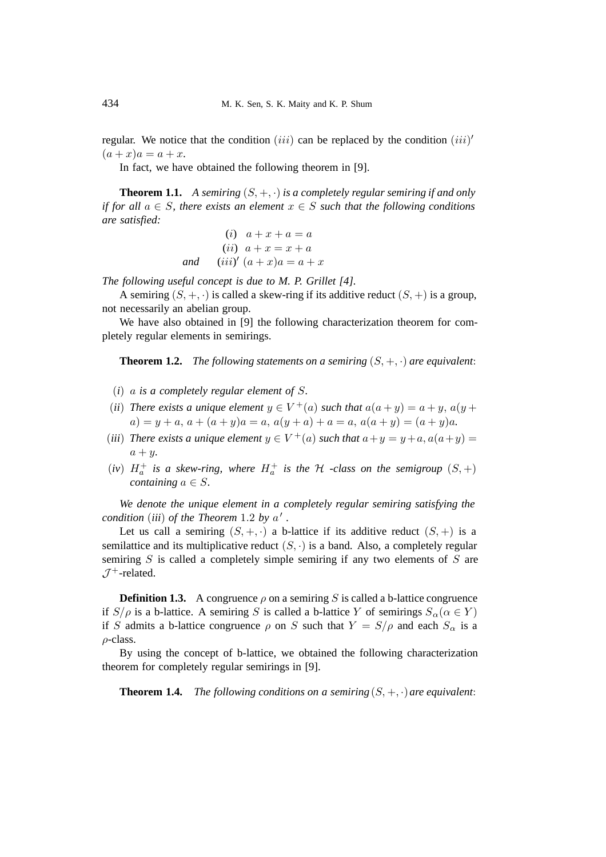regular. We notice that the condition (iii) can be replaced by the condition (iii)'  $(a + x)a = a + x.$ 

In fact, we have obtained the following theorem in [9].

**Theorem 1.1.** *A semiring*  $(S, +, \cdot)$  *is a completely regular semiring if and only if for all*  $a \in S$ *, there exists an element*  $x \in S$  *such that the following conditions are satisfied:*

(i) 
$$
a+x+a=a
$$
  
\n(ii)  $a+x=x+a$   
\nand  $(iii)'(a+x)a=a+x$ 

*The following useful concept is due to M. P. Grillet [4].*

A semiring  $(S, +, \cdot)$  is called a skew-ring if its additive reduct  $(S, +)$  is a group, not necessarily an abelian group.

We have also obtained in [9] the following characterization theorem for completely regular elements in semirings.

**Theorem 1.2.** *The following statements on a semiring*  $(S, +, \cdot)$  *are equivalent:* 

- (*i*) a *is a completely regular element of* S*.*
- (*ii*) *There exists a unique element*  $y \in V^+(a)$  *such that*  $a(a + y) = a + y$ ,  $a(y + y) = a + y$  $a) = y + a, a + (a + y)a = a, a(y + a) + a = a, a(a + y) = (a + y)a.$
- (*iii*) *There exists a unique element*  $y \in V^+(a)$  *such that*  $a+y = y+a$ ,  $a(a+y) =$  $a + y$ .
- (*iv*)  $H_a^+$  *is a skew-ring, where*  $H_a^+$  *is the*  $H$  *-class on the semigroup*  $(S,+)$ *containing*  $a \in S$ .

*We denote the unique element in a completely regular semiring satisfying the condition* (*iii*) *of the Theorem* 1.2 *by*  $a'$ .

Let us call a semiring  $(S, +, \cdot)$  a b-lattice if its additive reduct  $(S, +)$  is a semilattice and its multiplicative reduct  $(S, \cdot)$  is a band. Also, a completely regular semiring  $S$  is called a completely simple semiring if any two elements of  $S$  are  $\mathcal{J}^+$ -related.

**Definition 1.3.** A congruence  $\rho$  on a semiring S is called a b-lattice congruence if  $S/\rho$  is a b-lattice. A semiring S is called a b-lattice Y of semirings  $S_\alpha(\alpha \in Y)$ if S admits a b-lattice congruence  $\rho$  on S such that  $Y = S/\rho$  and each  $S_\alpha$  is a  $\rho$ -class.

By using the concept of b-lattice, we obtained the following characterization theorem for completely regular semirings in [9].

**Theorem 1.4.** *The following conditions on a semiring*  $(S, +, \cdot)$  *are equivalent:*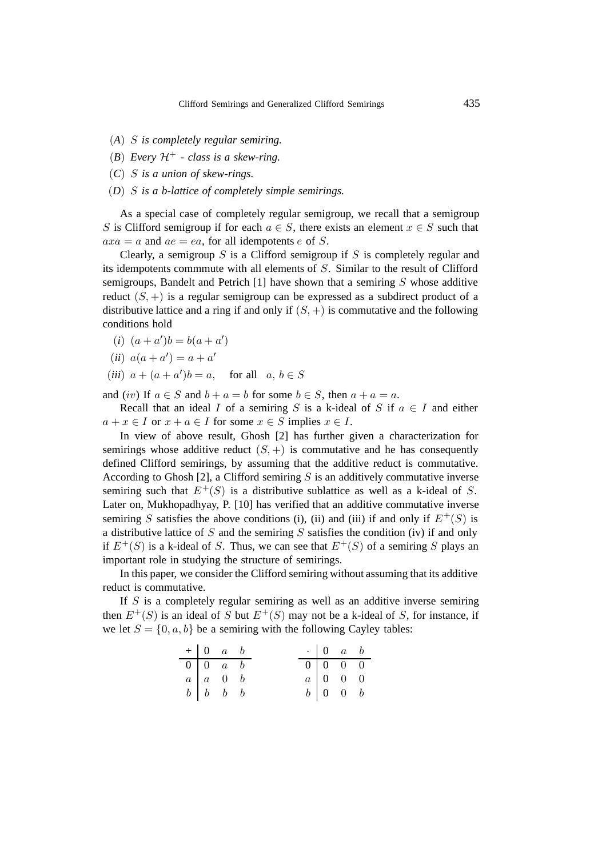- (*A*) S *is completely regular semiring.*
- (*B*) *Every*  $\mathcal{H}^+$   *class is a skew-ring.*
- (*C*) S *is a union of skew-rings.*
- (*D*) S *is a b-lattice of completely simple semirings.*

As a special case of completely regular semigroup, we recall that a semigroup S is Clifford semigroup if for each  $a \in S$ , there exists an element  $x \in S$  such that  $axa = a$  and  $ae = ea$ , for all idempotents e of S.

Clearly, a semigroup  $S$  is a Clifford semigroup if  $S$  is completely regular and its idempotents commmute with all elements of S. Similar to the result of Clifford semigroups, Bandelt and Petrich  $[1]$  have shown that a semiring S whose additive reduct  $(S, +)$  is a regular semigroup can be expressed as a subdirect product of a distributive lattice and a ring if and only if  $(S, +)$  is commutative and the following conditions hold

$$
(i) (a+a')b = b(a+a')
$$

- (*ii*)  $a(a + a') = a + a'$
- (*iii*)  $a + (a + a')b = a$ , for all  $a, b \in S$

and (iv) If  $a \in S$  and  $b + a = b$  for some  $b \in S$ , then  $a + a = a$ .

Recall that an ideal I of a semiring S is a k-ideal of S if  $a \in I$  and either  $a + x \in I$  or  $x + a \in I$  for some  $x \in S$  implies  $x \in I$ .

In view of above result, Ghosh [2] has further given a characterization for semirings whose additive reduct  $(S, +)$  is commutative and he has consequently defined Clifford semirings, by assuming that the additive reduct is commutative. According to Ghosh [2], a Clifford semiring  $S$  is an additively commutative inverse semiring such that  $E^+(S)$  is a distributive sublattice as well as a k-ideal of S. Later on, Mukhopadhyay, P. [10] has verified that an additive commutative inverse semiring S satisfies the above conditions (i), (ii) and (iii) if and only if  $E^+(S)$  is a distributive lattice of  $S$  and the semiring  $S$  satisfies the condition (iv) if and only if  $E^+(S)$  is a k-ideal of S. Thus, we can see that  $E^+(S)$  of a semiring S plays an important role in studying the structure of semirings.

In this paper, we consider the Clifford semiring without assuming that its additive reduct is commutative.

If  $S$  is a completely regular semiring as well as an additive inverse semiring then  $E^+(S)$  is an ideal of S but  $E^+(S)$  may not be a k-ideal of S, for instance, if we let  $S = \{0, a, b\}$  be a semiring with the following Cayley tables:

| $+$ 0 a b                                                             |  |  | $\cdot$ 0 a b                                              |  |
|-----------------------------------------------------------------------|--|--|------------------------------------------------------------|--|
| $\begin{array}{ c c c c c } \hline 0 & 0 & a & b \end{array}$         |  |  | $\begin{array}{ c c c c c }\n\hline\n0&0&0&0\n\end{array}$ |  |
|                                                                       |  |  | $a \begin{bmatrix} 0 & 0 & 0 \end{bmatrix}$                |  |
| $\begin{array}{c ccccc}\na & a & 0 & b \\ b & b & b & b\n\end{array}$ |  |  | $b \begin{bmatrix} 0 & 0 & b \end{bmatrix}$                |  |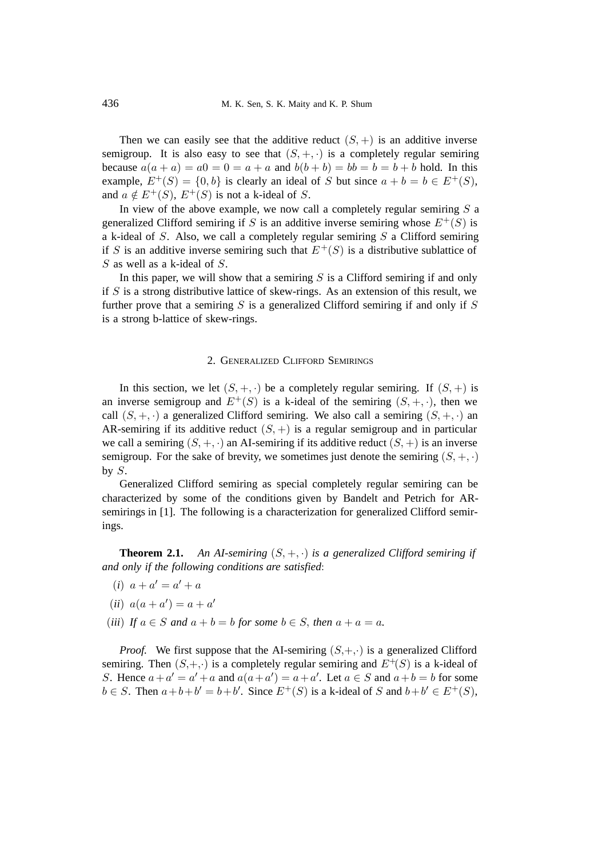Then we can easily see that the additive reduct  $(S, +)$  is an additive inverse semigroup. It is also easy to see that  $(S, +, \cdot)$  is a completely regular semiring because  $a(a + a) = a0 = 0 = a + a$  and  $b(b + b) = bb = b = b + b$  hold. In this example,  $E^+(S) = \{0, b\}$  is clearly an ideal of S but since  $a + b = b \in E^+(S)$ , and  $a \notin E^+(S)$ ,  $E^+(S)$  is not a k-ideal of S.

In view of the above example, we now call a completely regular semiring  $S$  a generalized Clifford semiring if S is an additive inverse semiring whose  $E^+(S)$  is a k-ideal of  $S$ . Also, we call a completely regular semiring  $S$  a Clifford semiring if S is an additive inverse semiring such that  $E^+(S)$  is a distributive sublattice of S as well as a k-ideal of S.

In this paper, we will show that a semiring  $S$  is a Clifford semiring if and only if  $S$  is a strong distributive lattice of skew-rings. As an extension of this result, we further prove that a semiring  $S$  is a generalized Clifford semiring if and only if  $S$ is a strong b-lattice of skew-rings.

### 2. GENERALIZED CLIFFORD SEMIRINGS

In this section, we let  $(S, +, \cdot)$  be a completely regular semiring. If  $(S, +)$  is an inverse semigroup and  $E^+(S)$  is a k-ideal of the semiring  $(S, +, \cdot)$ , then we call  $(S, +, \cdot)$  a generalized Clifford semiring. We also call a semiring  $(S, +, \cdot)$  an AR-semiring if its additive reduct  $(S, +)$  is a regular semigroup and in particular we call a semiring  $(S, +, \cdot)$  an AI-semiring if its additive reduct  $(S, +)$  is an inverse semigroup. For the sake of brevity, we sometimes just denote the semiring  $(S, +, \cdot)$ by  $S$ .

Generalized Clifford semiring as special completely regular semiring can be characterized by some of the conditions given by Bandelt and Petrich for ARsemirings in [1]. The following is a characterization for generalized Clifford semirings.

**Theorem 2.1.** An AI-semiring  $(S, +, \cdot)$  is a generalized Clifford semiring if *and only if the following conditions are satisfied*:

- $(i)$   $a + a' = a' + a$
- $(ii) a(a + a') = a + a'$
- (*iii*) If  $a \in S$  and  $a + b = b$  for some  $b \in S$ , then  $a + a = a$ .

*Proof.* We first suppose that the AI-semiring  $(S, +, \cdot)$  is a generalized Clifford semiring. Then  $(S, +, \cdot)$  is a completely regular semiring and  $E^+(S)$  is a k-ideal of S. Hence  $a + a' = a' + a$  and  $a(a + a') = a + a'$ . Let  $a \in S$  and  $a + b = b$  for some  $b \in S$ . Then  $a+b+b' = b+b'$ . Since  $E^+(S)$  is a k-ideal of S and  $b+b' \in E^+(S)$ ,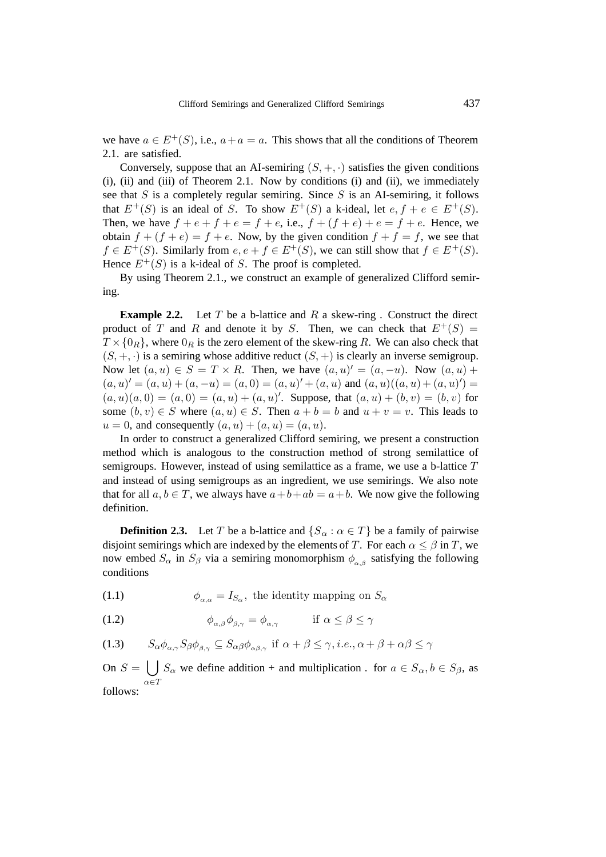we have  $a \in E^+(S)$ , i.e.,  $a + a = a$ . This shows that all the conditions of Theorem 2.1. are satisfied.

Conversely, suppose that an AI-semiring  $(S, +, \cdot)$  satisfies the given conditions (i), (ii) and (iii) of Theorem 2.1. Now by conditions (i) and (ii), we immediately see that  $S$  is a completely regular semiring. Since  $S$  is an AI-semiring, it follows that  $E^+(S)$  is an ideal of S. To show  $E^+(S)$  a k-ideal, let  $e, f + e \in E^+(S)$ . Then, we have  $f + e + f + e = f + e$ , i.e.,  $f + (f + e) + e = f + e$ . Hence, we obtain  $f + (f + e) = f + e$ . Now, by the given condition  $f + f = f$ , we see that  $f \in E^+(S)$ . Similarly from  $e, e + f \in E^+(S)$ , we can still show that  $f \in E^+(S)$ . Hence  $E^+(S)$  is a k-ideal of S. The proof is completed.

By using Theorem 2.1., we construct an example of generalized Clifford semiring.

**Example 2.2.** Let T be a b-lattice and R a skew-ring . Construct the direct product of T and R and denote it by S. Then, we can check that  $E^+(S)$  =  $T \times \{0_R\}$ , where  $0_R$  is the zero element of the skew-ring R. We can also check that  $(S, +, \cdot)$  is a semiring whose additive reduct  $(S, +)$  is clearly an inverse semigroup. Now let  $(a, u) \in S = T \times R$ . Then, we have  $(a, u)' = (a, -u)$ . Now  $(a, u)$  +  $(a, u)' = (a, u) + (a, -u) = (a, 0) = (a, u)' + (a, u)$  and  $(a, u)((a, u) + (a, u)') = (a, u)(a, u)$  $(a, u)(a, 0) = (a, 0) = (a, u) + (a, u)'$ . Suppose, that  $(a, u) + (b, v) = (b, v)$  for some  $(b, v) \in S$  where  $(a, u) \in S$ . Then  $a + b = b$  and  $u + v = v$ . This leads to  $u = 0$ , and consequently  $(a, u) + (a, u) = (a, u)$ .

In order to construct a generalized Clifford semiring, we present a construction method which is analogous to the construction method of strong semilattice of semigroups. However, instead of using semilattice as a frame, we use a b-lattice T and instead of using semigroups as an ingredient, we use semirings. We also note that for all  $a, b \in T$ , we always have  $a+b+ab = a+b$ . We now give the following definition.

**Definition 2.3.** Let T be a b-lattice and  $\{S_\alpha : \alpha \in T\}$  be a family of pairwise disjoint semirings which are indexed by the elements of T. For each  $\alpha \leq \beta$  in T, we now embed  $S_\alpha$  in  $S_\beta$  via a semiring monomorphism  $\phi_{\alpha,\beta}$  satisfying the following conditions

(1.1)  $\phi_{\alpha,\alpha} = I_{S_{\alpha}}$ , the identity mapping on  $S_{\alpha}$ 

(1.2) 
$$
\phi_{\alpha,\beta}\phi_{\beta,\gamma} = \phi_{\alpha,\gamma} \quad \text{if } \alpha \leq \beta \leq \gamma
$$

(1.3) 
$$
S_{\alpha}\phi_{\alpha,\gamma}S_{\beta}\phi_{\beta,\gamma} \subseteq S_{\alpha\beta}\phi_{\alpha\beta,\gamma} \text{ if } \alpha+\beta \leq \gamma, i.e., \alpha+\beta+\alpha\beta \leq \gamma
$$

On  $S = \bigcup S_\alpha$  we define addition + and multiplication. for  $a \in S_\alpha$ ,  $b \in S_\beta$ , as  $\alpha{\in}T$ follows: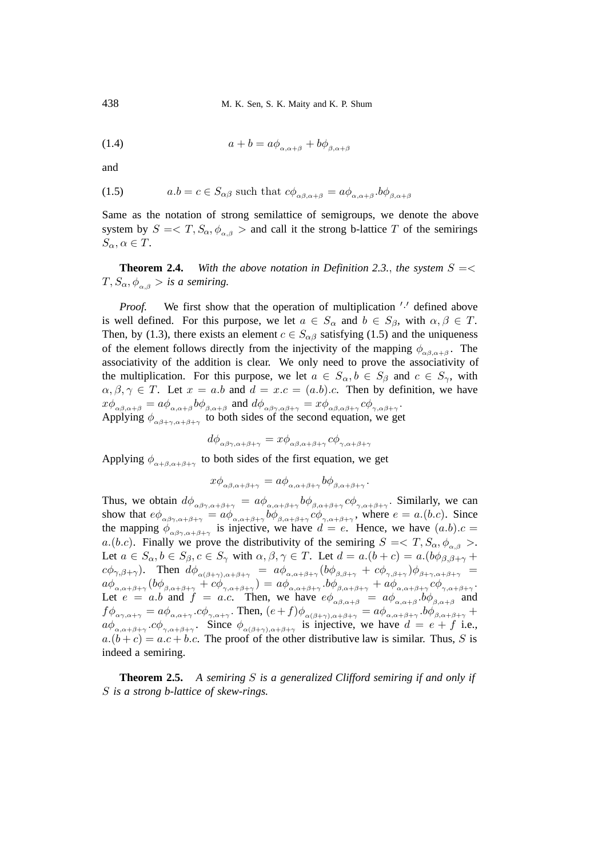(1.4) 
$$
a+b = a\phi_{\alpha,\alpha+\beta} + b\phi_{\beta,\alpha+\beta}
$$

and

(1.5) 
$$
a.b = c \in S_{\alpha\beta} \text{ such that } c\phi_{\alpha\beta,\alpha+\beta} = a\phi_{\alpha,\alpha+\beta}.b\phi_{\beta,\alpha+\beta}
$$

Same as the notation of strong semilattice of semigroups, we denote the above system by  $S = \langle T, S_{\alpha}, \phi_{\alpha\beta} \rangle$  and call it the strong b-lattice T of the semirings  $S_{\alpha}, \alpha \in T$ .

**Theorem 2.4.** With the above notation in Definition 2.3., the system  $S = \lt$  $T, S_{\alpha}, \phi_{\alpha,\beta} >$  *is a semiring.* 

*Proof.* We first show that the operation of multiplication '.' defined above is well defined. For this purpose, we let  $a \in S_\alpha$  and  $b \in S_\beta$ , with  $\alpha, \beta \in T$ . Then, by (1.3), there exists an element  $c \in S_{\alpha\beta}$  satisfying (1.5) and the uniqueness of the element follows directly from the injectivity of the mapping  $\phi_{\alpha\beta,\alpha+\beta}$ . The associativity of the addition is clear. We only need to prove the associativity of the multiplication. For this purpose, we let  $a \in S_\alpha$ ,  $b \in S_\beta$  and  $c \in S_\gamma$ , with  $\alpha, \beta, \gamma \in T$ . Let  $x = a.b$  and  $d = x.c = (a.b).c$ . Then by definition, we have  $x\phi_{\alpha\beta,\alpha+\beta}=a\phi_{\alpha,\alpha+\beta}b\phi_{\beta,\alpha+\beta} \ \ \text{and} \ \ d\phi_{\alpha\beta\gamma,\alpha\beta+\gamma}=x\phi_{\alpha\beta,\alpha\beta+\gamma}c\phi_{\gamma,\alpha\beta+\gamma}.$ Applying  $\phi_{\alpha\beta+\gamma,\alpha+\beta+\gamma}$  to both sides of the second equation, we get

$$
d\phi_{\alpha\beta\gamma,\alpha+\beta+\gamma} = x\phi_{\alpha\beta,\alpha+\beta+\gamma}c\phi_{\gamma,\alpha+\beta+\gamma}
$$

Applying  $\phi_{\alpha+\beta,\alpha+\beta+\gamma}$  to both sides of the first equation, we get

$$
x\phi_{\alpha\beta,\alpha+\beta+\gamma} = a\phi_{\alpha,\alpha+\beta+\gamma} b\phi_{\beta,\alpha+\beta+\gamma}.
$$

Thus, we obtain  $d\phi_{\alpha\beta\gamma,\alpha+\beta+\gamma} = a\phi_{\alpha,\alpha+\beta+\gamma} b\phi_{\beta,\alpha+\beta+\gamma} c\phi_{\gamma,\alpha+\beta+\gamma}$ . Similarly, we can show that  $e\phi_{\alpha\beta\gamma,\alpha+\beta+\gamma} = a\phi_{\alpha,\alpha+\beta+\gamma} b\phi_{\beta,\alpha+\beta+\gamma} c\phi_{\gamma,\alpha+\beta+\gamma}$ , where  $e = a.(b.c)$ . Since the mapping  $\phi_{\alpha\beta\gamma,\alpha+\beta+\gamma}$  is injective, we have  $d = e$ . Hence, we have  $(a.b).c =$ a.(b.c). Finally we prove the distributivity of the semiring  $S = \langle T, S_\alpha, \phi_{\alpha, \beta} \rangle$ . Let  $a \in S_\alpha$ ,  $b \in S_\beta$ ,  $c \in S_\gamma$  with  $\alpha, \beta, \gamma \in T$ . Let  $d = a.(b + c) = a.(b \phi_{\beta, \beta + \gamma} + b)$  $c\phi_{\gamma,\beta+\gamma}$ ). Then  $d\phi_{\alpha(\beta+\gamma),\alpha+\beta+\gamma} = a\phi_{\alpha,\alpha+\beta+\gamma}(b\phi_{\beta,\beta+\gamma} + c\phi_{\gamma,\beta+\gamma})\phi_{\beta+\gamma,\alpha+\beta+\gamma} =$  $a\phi_{\alpha,\alpha+\beta+\gamma}(b\phi_{\beta,\alpha+\beta+\gamma}+c\phi_{\gamma,\alpha+\beta+\gamma}) = a\phi_{\alpha,\alpha+\beta+\gamma}.b\phi_{\beta,\alpha+\beta+\gamma}$  +  $a\phi_{\alpha,\alpha+\beta+\gamma}c\phi_{\gamma,\alpha+\beta+\gamma}.$ Let  $e = a.b$  and  $f = a.c$ . Then, we have  $e\phi_{\alpha\beta,\alpha+\beta}$  =  $a\phi_{\alpha,\alpha+\beta}$ ,  $b\phi_{\beta,\alpha+\beta}$  and  $f\phi_{\alpha\gamma,\alpha+\gamma} = a\phi_{\alpha,\alpha+\gamma} \cdot c\phi_{\gamma,\alpha+\gamma}$ . Then,  $(e+f)\phi_{\alpha(\beta+\gamma),\alpha+\beta+\gamma} = a\phi_{\alpha,\alpha+\beta+\gamma} \cdot b\phi_{\beta,\alpha+\beta+\gamma}$  $a\phi_{\alpha,\alpha+\beta+\gamma}$  .  $c\phi_{\gamma,\alpha+\beta+\gamma}$ . Since  $\phi_{\alpha(\beta+\gamma),\alpha+\beta+\gamma}$  is injective, we have  $d = e + f$  i.e.,  $a.(b + c) = a.c + b.c.$  The proof of the other distributive law is similar. Thus, S is indeed a semiring.

**Theorem 2.5.** *A semiring* S *is a generalized Clifford semiring if and only if* S *is a strong b-lattice of skew-rings.*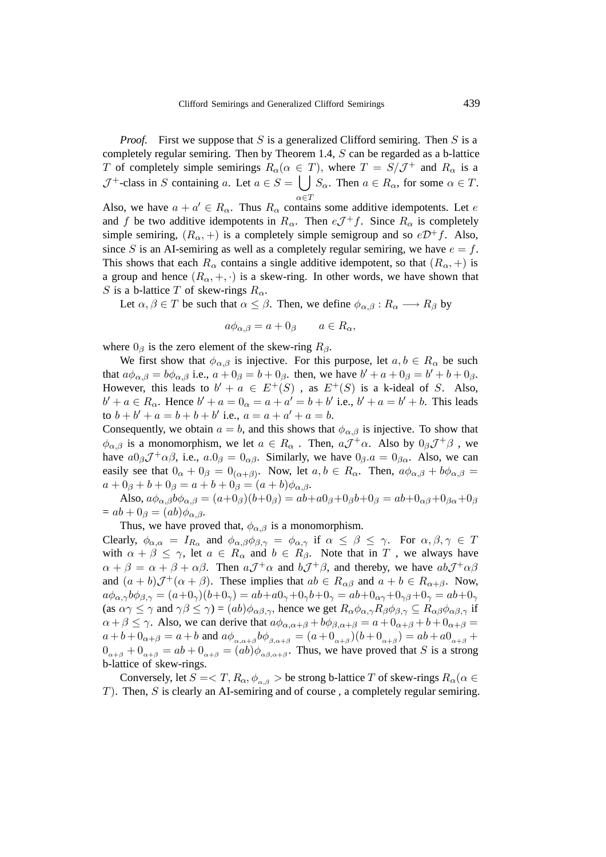*Proof.* First we suppose that S is a generalized Clifford semiring. Then S is a completely regular semiring. Then by Theorem 1.4, S can be regarded as a b-lattice T of completely simple semirings  $R_{\alpha}(\alpha \in T)$ , where  $T = S/\mathcal{J}^+$  and  $R_{\alpha}$  is a  $\mathcal{J}^+$ -class in S containing a. Let  $a \in S = \begin{bmatrix} 1 \end{bmatrix}$  $\alpha \in T$  $S_{\alpha}$ . Then  $a \in R_{\alpha}$ , for some  $\alpha \in T$ .

Also, we have  $a + a' \in R_{\alpha}$ . Thus  $R_{\alpha}$  contains some additive idempotents. Let e and f be two additive idempotents in  $R_{\alpha}$ . Then  $eJ^+f$ . Since  $R_{\alpha}$  is completely simple semiring,  $(R_{\alpha}, +)$  is a completely simple semigroup and so  $e^{i\pi}f$ . Also, since S is an AI-semiring as well as a completely regular semiring, we have  $e = f$ . This shows that each  $R_{\alpha}$  contains a single additive idempotent, so that  $(R_{\alpha}, +)$  is a group and hence  $(R_{\alpha}, +, \cdot)$  is a skew-ring. In other words, we have shown that S is a b-lattice T of skew-rings  $R_{\alpha}$ .

Let  $\alpha, \beta \in T$  be such that  $\alpha \leq \beta$ . Then, we define  $\phi_{\alpha,\beta} : R_{\alpha} \longrightarrow R_{\beta}$  by

$$
a\phi_{\alpha,\beta} = a + 0_{\beta} \qquad a \in R_{\alpha},
$$

where  $0_\beta$  is the zero element of the skew-ring  $R_\beta$ .

We first show that  $\phi_{\alpha,\beta}$  is injective. For this purpose, let  $a, b \in R_{\alpha}$  be such that  $a\phi_{\alpha,\beta} = b\phi_{\alpha,\beta}$  i.e.,  $a + 0_{\beta} = b + 0_{\beta}$ . then, we have  $b' + a + 0_{\beta} = b' + b + 0_{\beta}$ . However, this leads to  $b' + a \in E^+(S)$ , as  $E^+(S)$  is a k-ideal of S. Also,  $b' + a \in R_{\alpha}$ . Hence  $b' + a = 0_{\alpha} = a + a' = b + b'$  i.e.,  $b' + a = b' + b$ . This leads to  $b + b' + a = b + b + b'$  i.e.,  $a = a + a' + a = b$ .

Consequently, we obtain  $a = b$ , and this shows that  $\phi_{\alpha,\beta}$  is injective. To show that  $\phi_{\alpha,\beta}$  is a monomorphism, we let  $a \in R_\alpha$ . Then,  $aJ^+\alpha$ . Also by  $0_\beta J^+\beta$ , we have  $a0_\beta \mathcal{J}^+\alpha\beta$ , i.e.,  $a.0_\beta = 0_{\alpha\beta}$ . Similarly, we have  $0_\beta.a = 0_{\beta\alpha}$ . Also, we can easily see that  $0_{\alpha} + 0_{\beta} = 0_{(\alpha+\beta)}$ . Now, let  $a, b \in R_{\alpha}$ . Then,  $a\phi_{\alpha,\beta} + b\phi_{\alpha,\beta} =$  $a + 0<sub>\beta</sub> + b + 0<sub>\beta</sub> = a + b + 0<sub>\beta</sub> = (a + b)\phi<sub>\alpha,\beta</sub>.$ 

Also,  $a\phi_{\alpha,\beta}b\phi_{\alpha,\beta} = (a+0_{\beta})(b+0_{\beta}) = ab + a0_{\beta} + 0_{\beta}b + 0_{\beta} = ab + 0_{\alpha\beta} + 0_{\beta\alpha} + 0_{\beta}$  $= ab + 0<sub>\beta</sub> = (ab)\phi_{\alpha,\beta}.$ 

Thus, we have proved that,  $\phi_{\alpha,\beta}$  is a monomorphism.

Clearly,  $\phi_{\alpha,\alpha} = I_{R_{\alpha}}$  and  $\phi_{\alpha,\beta}\phi_{\beta,\gamma} = \phi_{\alpha,\gamma}$  if  $\alpha \leq \beta \leq \gamma$ . For  $\alpha,\beta,\gamma \in T$ with  $\alpha + \beta \leq \gamma$ , let  $a \in R_{\alpha}$  and  $b \in R_{\beta}$ . Note that in T, we always have  $\alpha + \beta = \alpha + \beta + \alpha\beta$ . Then  $aJ^+\alpha$  and  $bJ^+\beta$ , and thereby, we have  $abJ^+\alpha\beta$ and  $(a + b)\mathcal{J}^{+}(\alpha + \beta)$ . These implies that  $ab \in R_{\alpha\beta}$  and  $a + b \in R_{\alpha+\beta}$ . Now,  $a\phi_{\alpha,\gamma}b\phi_{\beta,\gamma} = (a+0_{\gamma})(b+0_{\gamma}) = ab + a0_{\gamma} + 0_{\gamma}b + 0_{\gamma} = ab + 0_{\alpha\gamma} + 0_{\gamma\beta} + 0_{\gamma} = ab + 0_{\gamma}$ (as  $\alpha \gamma \leq \gamma$  and  $\gamma \beta \leq \gamma$ ) =  $(ab)\phi_{\alpha\beta,\gamma}$ , hence we get  $R_{\alpha}\phi_{\alpha,\gamma}R_{\beta}\phi_{\beta,\gamma} \subseteq R_{\alpha\beta}\phi_{\alpha\beta,\gamma}$  if  $\alpha + \beta \leq \gamma$ . Also, we can derive that  $a\phi_{\alpha,\alpha+\beta} + b\phi_{\beta,\alpha+\beta} = a + 0_{\alpha+\beta} + b + 0_{\alpha+\beta} = a$  $a+b+0_{\alpha+\beta}=a+b$  and  $a\phi_{\alpha,\alpha+\beta}b\phi_{\beta,\alpha+\beta}=(a+0_{\alpha+\beta})(b+0_{\alpha+\beta})=ab+a0_{\alpha+\beta}+b$  $0_{\alpha+\beta} + 0_{\alpha+\beta} = ab + 0_{\alpha+\beta} = (ab)\phi_{\alpha\beta,\alpha+\beta}$ . Thus, we have proved that S is a strong b-lattice of skew-rings.

Conversely, let  $S = \langle T, R_\alpha, \phi_{\alpha,\beta} \rangle$  be strong b-lattice T of skew-rings  $R_\alpha(\alpha \in$  $T$ ). Then,  $S$  is clearly an AI-semiring and of course, a completely regular semiring.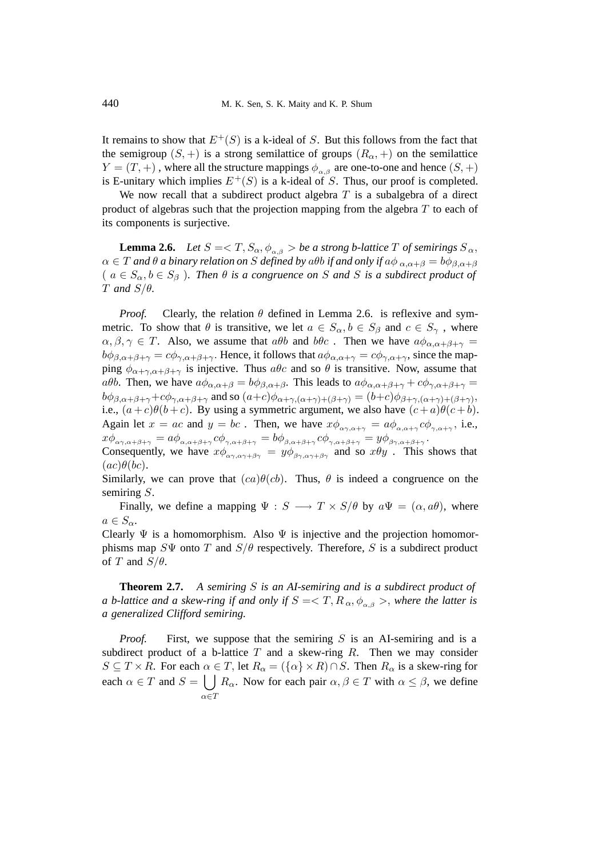It remains to show that  $E^+(S)$  is a k-ideal of S. But this follows from the fact that the semigroup  $(S,+)$  is a strong semilattice of groups  $(R_{\alpha},+)$  on the semilattice  $Y = (T, +)$ , where all the structure mappings  $\phi_{\alpha\beta}$  are one-to-one and hence  $(S, +)$ is E-unitary which implies  $E^+(S)$  is a k-ideal of S. Thus, our proof is completed.

We now recall that a subdirect product algebra  $T$  is a subalgebra of a direct product of algebras such that the projection mapping from the algebra  $T$  to each of its components is surjective.

**Lemma 2.6.** *Let*  $S = \langle T, S_\alpha, \phi_{\alpha,\beta} \rangle$  *be a strong b-lattice*  $T$  *of semirings*  $S_\alpha$ ,  $\alpha \in T$  *and*  $\theta$  *a binary relation on* S *defined by*  $\alpha \theta$ *b if and only if*  $\alpha \phi_{\alpha,\alpha+\beta} = b\phi_{\beta,\alpha+\beta}$  $(a \in S_\alpha, b \in S_\beta)$ . Then  $\theta$  *is a congruence on* S and S *is a subdirect product of* T *and* S/θ*.*

*Proof.* Clearly, the relation  $\theta$  defined in Lemma 2.6. is reflexive and symmetric. To show that  $\theta$  is transitive, we let  $a \in S_\alpha$ ,  $b \in S_\beta$  and  $c \in S_\gamma$ , where  $\alpha, \beta, \gamma \in T$ . Also, we assume that  $a\theta b$  and  $b\theta c$ . Then we have  $a\phi_{\alpha,\alpha+\beta+\gamma} =$  $b\phi_{\beta,\alpha+\beta+\gamma} = c\phi_{\gamma,\alpha+\beta+\gamma}$ . Hence, it follows that  $a\phi_{\alpha,\alpha+\gamma} = c\phi_{\gamma,\alpha+\gamma}$ , since the mapping  $\phi_{\alpha+\gamma,\alpha+\beta+\gamma}$  is injective. Thus  $a\theta c$  and so  $\theta$  is transitive. Now, assume that aθb. Then, we have  $a\phi_{\alpha,\alpha+\beta} = b\phi_{\beta,\alpha+\beta}$ . This leads to  $a\phi_{\alpha,\alpha+\beta+\gamma} + c\phi_{\gamma,\alpha+\beta+\gamma} =$  $b\phi_{\beta,\alpha+\beta+\gamma}+c\phi_{\gamma,\alpha+\beta+\gamma}$  and so  $(a+c)\phi_{\alpha+\gamma,(\alpha+\gamma)+(\beta+\gamma)}=(b+c)\phi_{\beta+\gamma,(\alpha+\gamma)+(\beta+\gamma)}$ , i.e.,  $(a+c)\theta(b+c)$ . By using a symmetric argument, we also have  $(c+a)\theta(c+b)$ . Again let  $x = ac$  and  $y = bc$ . Then, we have  $x\phi_{\alpha\gamma,\alpha+\gamma} = a\phi_{\alpha,\alpha+\gamma} c\phi_{\gamma,\alpha+\gamma}$ , i.e.,  $x\phi_{\alpha\gamma,\alpha+\beta+\gamma}=a\phi_{\alpha,\alpha+\beta+\gamma}c\phi_{\gamma,\alpha+\beta+\gamma}=b\phi_{\beta,\alpha+\beta+\gamma}c\phi_{\gamma,\alpha+\beta+\gamma}=y\phi_{\beta\gamma,\alpha+\beta+\gamma}.$ 

Consequently, we have  $x\phi_{\alpha\gamma,\alpha\gamma+\beta\gamma} = y\phi_{\beta\gamma,\alpha\gamma+\beta\gamma}$  and so  $x\theta y$ . This shows that  $(ac)\theta(bc)$ .

Similarly, we can prove that  $(ca)\theta(cb)$ . Thus,  $\theta$  is indeed a congruence on the semiring S.

Finally, we define a mapping  $\Psi : S \longrightarrow T \times S/\theta$  by  $a\Psi = (\alpha, a\theta)$ , where  $a \in S_{\alpha}$ .

Clearly  $\Psi$  is a homomorphism. Also  $\Psi$  is injective and the projection homomorphisms map  $S\Psi$  onto T and  $S/\theta$  respectively. Therefore, S is a subdirect product of T and  $S/\theta$ .

**Theorem 2.7.** *A semiring* S *is an AI-semiring and is a subdirect product of a* b-lattice and a skew-ring if and only if  $S = \langle T, R_\alpha, \phi_{\alpha\beta} \rangle$ , where the latter is *a generalized Clifford semiring.*

*Proof.* First, we suppose that the semiring  $S$  is an AI-semiring and is a subdirect product of a b-lattice  $T$  and a skew-ring  $R$ . Then we may consider  $S \subseteq T \times R$ . For each  $\alpha \in T$ , let  $R_{\alpha} = (\{\alpha\} \times R) \cap S$ . Then  $R_{\alpha}$  is a skew-ring for each  $\alpha \in T$  and  $S = \bigcup R_{\alpha}$ . Now for each pair  $\alpha, \beta \in T$  with  $\alpha \leq \beta$ , we define  $\alpha \in T$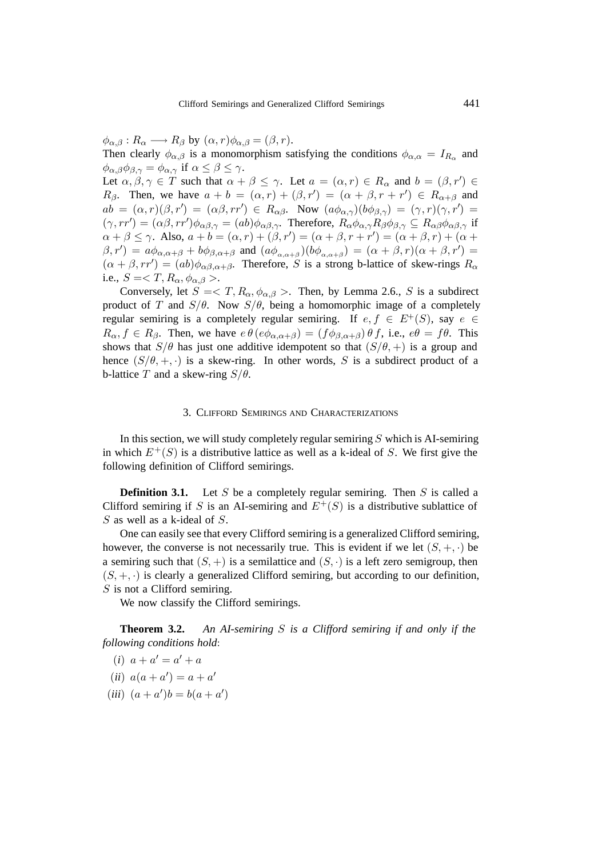$\phi_{\alpha,\beta}: R_{\alpha} \longrightarrow R_{\beta}$  by  $(\alpha, r)\phi_{\alpha,\beta} = (\beta, r)$ .

Then clearly  $\phi_{\alpha,\beta}$  is a monomorphism satisfying the conditions  $\phi_{\alpha,\alpha} = I_{R_{\alpha}}$  and  $\phi_{\alpha,\beta}\phi_{\beta,\gamma} = \phi_{\alpha,\gamma}$  if  $\alpha \leq \beta \leq \gamma$ .

Let  $\alpha, \beta, \gamma \in \mathcal{T}$  such that  $\alpha + \beta \leq \gamma$ . Let  $a = (\alpha, r) \in R_\alpha$  and  $b = (\beta, r') \in$  $R_{\beta}$ . Then, we have  $a + b = (\alpha, r) + (\beta, r') = (\alpha + \beta, r + r') \in R_{\alpha + \beta}$  and  $ab = (\alpha, r)(\beta, r') = (\alpha\beta, rr') \in R_{\alpha\beta}$ . Now  $(a\phi_{\alpha, \gamma})(b\phi_{\beta, \gamma}) = (\gamma, r)(\gamma, r') =$  $(\gamma, rr') = (\alpha \beta, rr') \phi_{\alpha \beta, \gamma} = (ab) \phi_{\alpha \beta, \gamma}$ . Therefore,  $R_{\alpha} \phi_{\alpha, \gamma} R_{\beta} \phi_{\beta, \gamma} \subseteq R_{\alpha \beta} \phi_{\alpha \beta, \gamma}$  if  $\alpha + \beta \leq \gamma$ . Also,  $a + b = (\alpha, r) + (\beta, r') = (\alpha + \beta, r + r') = (\alpha + \beta, r) + (\alpha + \beta)$  $(\beta, r') = a\phi_{\alpha,\alpha+\beta} + b\phi_{\beta,\alpha+\beta}$  and  $(a\phi_{\alpha,\alpha+\beta})(b\phi_{\alpha,\alpha+\beta}) = (\alpha+\beta,r)(\alpha+\beta,r') =$  $(\alpha + \beta, rr') = (ab)\phi_{\alpha\beta,\alpha+\beta}$ . Therefore, S is a strong b-lattice of skew-rings  $R_{\alpha}$ i.e.,  $S = \langle T, R_{\alpha}, \phi_{\alpha, \beta} \rangle$ .

Conversely, let  $S = \langle T, R_{\alpha}, \phi_{\alpha,\beta} \rangle$ . Then, by Lemma 2.6., S is a subdirect product of T and  $S/\theta$ . Now  $S/\theta$ , being a homomorphic image of a completely regular semiring is a completely regular semiring. If  $e, f \in E^+(S)$ , say  $e \in$  $R_{\alpha}$ ,  $f \in R_{\beta}$ . Then, we have  $e \theta (e \phi_{\alpha} A_{\beta}) = (f \phi_{\beta} A_{\alpha} B_{\beta}) \theta f$ , i.e.,  $e \theta = f \theta$ . This shows that  $S/\theta$  has just one additive idempotent so that  $(S/\theta, +)$  is a group and hence  $(S/\theta, +, \cdot)$  is a skew-ring. In other words, S is a subdirect product of a b-lattice T and a skew-ring  $S/\theta$ .

### 3. CLIFFORD SEMIRINGS AND CHARACTERIZATIONS

In this section, we will study completely regular semiring  $S$  which is AI-semiring in which  $E^+(S)$  is a distributive lattice as well as a k-ideal of S. We first give the following definition of Clifford semirings.

**Definition 3.1.** Let S be a completely regular semiring. Then S is called a Clifford semiring if S is an AI-semiring and  $E^+(S)$  is a distributive sublattice of S as well as a k-ideal of S.

One can easily see that every Clifford semiring is a generalized Clifford semiring, however, the converse is not necessarily true. This is evident if we let  $(S, +, \cdot)$  be a semiring such that  $(S, +)$  is a semilattice and  $(S, \cdot)$  is a left zero semigroup, then  $(S, +, \cdot)$  is clearly a generalized Clifford semiring, but according to our definition, S is not a Clifford semiring.

We now classify the Clifford semirings.

**Theorem 3.2.** *An AI-semiring* S *is a Clifford semiring if and only if the following conditions hold*:

- $(i)$   $a + a' = a' + a$
- $(ii) a(a + a') = a + a'$
- $(iii) (a + a')b = b(a + a')$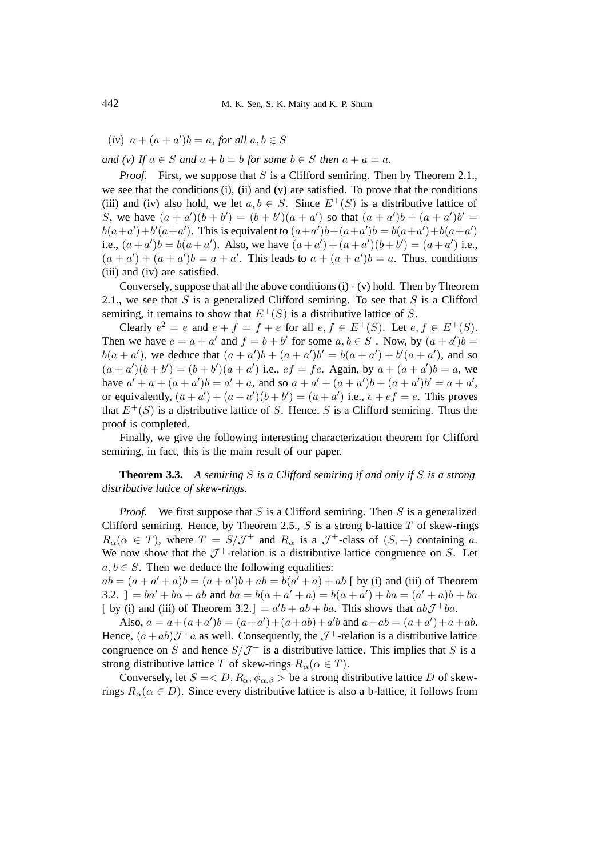$(iv)$   $a + (a + a')b = a$ , *for all*  $a, b \in S$ 

*and (v)* If  $a \in S$  *and*  $a + b = b$  *for some*  $b \in S$  *then*  $a + a = a$ *.* 

*Proof.* First, we suppose that S is a Clifford semiring. Then by Theorem 2.1., we see that the conditions (i), (ii) and (v) are satisfied. To prove that the conditions (iii) and (iv) also hold, we let  $a, b \in S$ . Since  $E^+(S)$  is a distributive lattice of S, we have  $(a + a')(b + b') = (b + b')(a + a')$  so that  $(a + a')b + (a + a')b' =$  $b(a+a')+b'(a+a')$ . This is equivalent to  $(a+a')b+(a+a')b = b(a+a')+b(a+a')$ i.e.,  $(a + a')b = b(a + a')$ . Also, we have  $(a + a') + (a + a')(b + b') = (a + a')$  i.e.,  $(a + a') + (a + a')b = a + a'$ . This leads to  $a + (a + a')b = a$ . Thus, conditions (iii) and (iv) are satisfied.

Conversely, suppose that all the above conditions  $(i) - (v)$  hold. Then by Theorem 2.1., we see that S is a generalized Clifford semiring. To see that S is a Clifford semiring, it remains to show that  $E^+(S)$  is a distributive lattice of S.

Clearly  $e^2 = e$  and  $e + f = f + e$  for all  $e, f \in E^+(S)$ . Let  $e, f \in E^+(S)$ . Then we have  $e = a + a'$  and  $f = b + b'$  for some  $a, b \in S$ . Now, by  $(a + a')b =$  $b(a + a')$ , we deduce that  $(a + a')b + (a + a')b' = b(a + a') + b'(a + a')$ , and so  $(a + a')(b + b') = (b + b')(a + a')$  i.e.,  $ef = fe$ . Again, by  $a + (a + a')b = a$ , we have  $a' + a + (a + a')b = a' + a$ , and so  $a + a' + (a + a')b + (a + a')b' = a + a'$ , or equivalently,  $(a + a') + (a + a')(b + b') = (a + a')$  i.e.,  $e + ef = e$ . This proves that  $E^+(S)$  is a distributive lattice of S. Hence, S is a Clifford semiring. Thus the proof is completed.

Finally, we give the following interesting characterization theorem for Clifford semiring, in fact, this is the main result of our paper.

**Theorem 3.3.** *A semiring* S *is a Clifford semiring if and only if* S *is a strong distributive latice of skew-rings.*

*Proof.* We first suppose that S is a Clifford semiring. Then S is a generalized Clifford semiring. Hence, by Theorem 2.5.,  $S$  is a strong b-lattice  $T$  of skew-rings  $R_{\alpha}(\alpha \in T)$ , where  $T = S/\mathcal{J}^+$  and  $R_{\alpha}$  is a  $\mathcal{J}^+$ -class of  $(S, +)$  containing a. We now show that the  $\mathcal{J}^+$ -relation is a distributive lattice congruence on S. Let  $a, b \in S$ . Then we deduce the following equalities:

 $ab = (a + a' + a)b = (a + a')b + ab = b(a' + a) + ab$  [ by (i) and (iii) of Theorem 3.2. ] =  $ba' + ba + ab$  and  $ba = b(a + a' + a) = b(a + a') + ba = (a' + a)b + ba$ [ by (i) and (iii) of Theorem 3.2.] =  $a'b + ab + ba$ . This shows that  $ab\mathcal{J}^+ba$ .

Also,  $a = a + (a + a')b = (a + a') + (a + ab) + a'b$  and  $a + ab = (a + a') + a + ab$ . Hence,  $(a+ab)\mathcal{J}^+a$  as well. Consequently, the  $\mathcal{J}^+$ -relation is a distributive lattice congruence on S and hence  $S/\mathcal{J}^+$  is a distributive lattice. This implies that S is a strong distributive lattice T of skew-rings  $R_{\alpha}(\alpha \in T)$ .

Conversely, let  $S = \langle D, R_{\alpha}, \phi_{\alpha, \beta} \rangle$  be a strong distributive lattice D of skewrings  $R_{\alpha}(\alpha \in D)$ . Since every distributive lattice is also a b-lattice, it follows from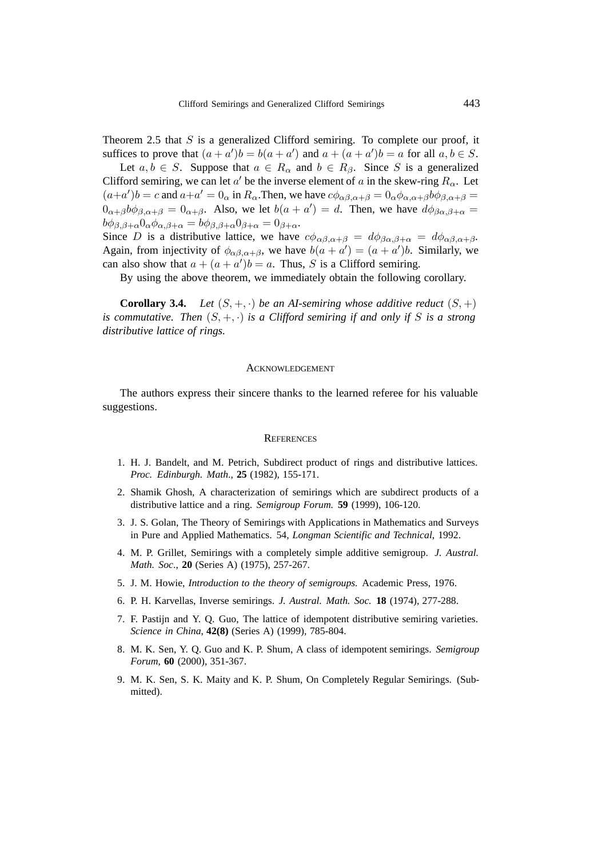Theorem 2.5 that  $S$  is a generalized Clifford semiring. To complete our proof, it suffices to prove that  $(a + a')b = b(a + a')$  and  $a + (a + a')b = a$  for all  $a, b \in S$ .

Let  $a, b \in S$ . Suppose that  $a \in R_{\alpha}$  and  $b \in R_{\beta}$ . Since S is a generalized Clifford semiring, we can let a' be the inverse element of a in the skew-ring  $R_{\alpha}$ . Let  $(a+a')b = c$  and  $a+a' = 0_\alpha$  in  $R_\alpha$ . Then, we have  $c\phi_{\alpha\beta,\alpha+\beta} = 0_\alpha \phi_{\alpha,\alpha+\beta} b\phi_{\beta,\alpha+\beta} = 0$  $0_{\alpha+\beta}b\phi_{\beta,\alpha+\beta}=0_{\alpha+\beta}$ . Also, we let  $b(a + a') = d$ . Then, we have  $d\phi_{\beta\alpha,\beta+\alpha} =$  $b\phi_{\beta,\beta+\alpha}0_{\alpha}\phi_{\alpha,\beta+\alpha} = b\phi_{\beta,\beta+\alpha}0_{\beta+\alpha} = 0_{\beta+\alpha}.$ 

Since D is a distributive lattice, we have  $c\phi_{\alpha\beta,\alpha+\beta} = d\phi_{\beta\alpha,\beta+\alpha} = d\phi_{\alpha\beta,\alpha+\beta}$ . Again, from injectivity of  $\phi_{\alpha\beta,\alpha+\beta}$ , we have  $b(a + a') = (a + a')b$ . Similarly, we can also show that  $a + (a + a')b = a$ . Thus, S is a Clifford semiring.

By using the above theorem, we immediately obtain the following corollary.

**Corollary 3.4.** *Let*  $(S, +, \cdot)$  *be an AI-semiring whose additive reduct*  $(S, +)$ *is commutative. Then*  $(S, +, \cdot)$  *is a Clifford semiring if and only if* S *is a strong distributive lattice of rings.*

#### ACKNOWLEDGEMENT

The authors express their sincere thanks to the learned referee for his valuable suggestions.

#### **REFERENCES**

- 1. H. J. Bandelt, and M. Petrich, Subdirect product of rings and distributive lattices. *Proc. Edinburgh. Math*., **25** (1982), 155-171.
- 2. Shamik Ghosh, A characterization of semirings which are subdirect products of a distributive lattice and a ring. *Semigroup Forum.* **59** (1999), 106-120.
- 3. J. S. Golan, The Theory of Semirings with Applications in Mathematics and Surveys in Pure and Applied Mathematics. 54, *Longman Scientific and Technical*, 1992.
- 4. M. P. Grillet, Semirings with a completely simple additive semigroup. *J. Austral. Math. Soc*., **20** (Series A) (1975), 257-267.
- 5. J. M. Howie, *Introduction to the theory of semigroups.* Academic Press, 1976.
- 6. P. H. Karvellas, Inverse semirings. *J. Austral. Math. Soc.* **18** (1974), 277-288.
- 7. F. Pastijn and Y. Q. Guo, The lattice of idempotent distributive semiring varieties. *Science in China*, **42(8)** (Series A) (1999), 785-804.
- 8. M. K. Sen, Y. Q. Guo and K. P. Shum, A class of idempotent semirings. *Semigroup Forum*, **60** (2000), 351-367.
- 9. M. K. Sen, S. K. Maity and K. P. Shum, On Completely Regular Semirings. (Submitted).